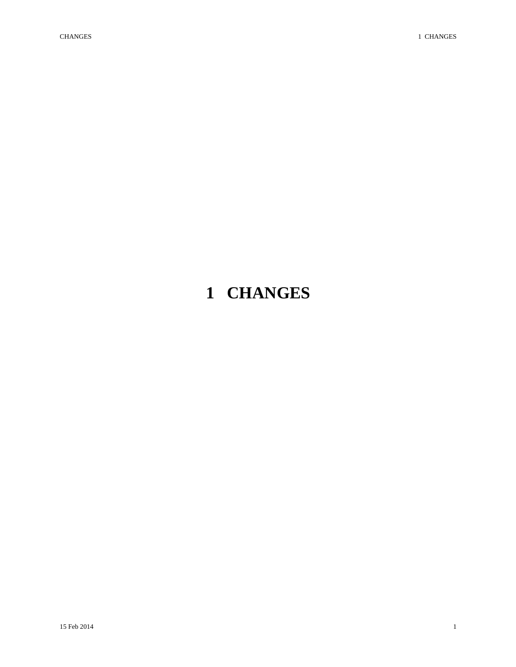# <span id="page-0-0"></span>**1 CHANGES**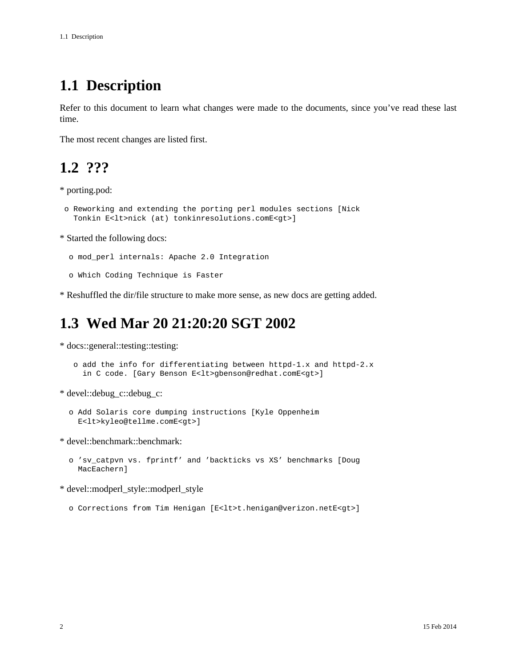## <span id="page-1-0"></span>**1.1 Description**

Refer to this document to learn what changes were made to the documents, since you've read these last time.

The most recent changes are listed first.

#### <span id="page-1-1"></span>**1.2 ???**

\* porting.pod:

```
 o Reworking and extending the porting perl modules sections [Nick
Tonkin E<lt>nick (at) tonkinresolutions.comE<gt>]
```
\* Started the following docs:

o mod\_perl internals: Apache 2.0 Integration

o Which Coding Technique is Faster

\* Reshuffled the dir/file structure to make more sense, as new docs are getting added.

### <span id="page-1-2"></span>**1.3 Wed Mar 20 21:20:20 SGT 2002**

\* docs::general::testing::testing:

```
 o add the info for differentiating between httpd-1.x and httpd-2.x
in C code. [Gary Benson E<lt>gbenson@redhat.comE<gt>]
```
\* devel::debug\_c::debug\_c:

```
 o Add Solaris core dumping instructions [Kyle Oppenheim
E<lt>kyleo@tellme.comE<gt>]
```
\* devel::benchmark::benchmark:

```
 o 'sv_catpvn vs. fprintf' and 'backticks vs XS' benchmarks [Doug
MacEachern]
```
\* devel::modperl\_style::modperl\_style

o Corrections from Tim Henigan [E<lt>t.henigan@verizon.netE<gt>]